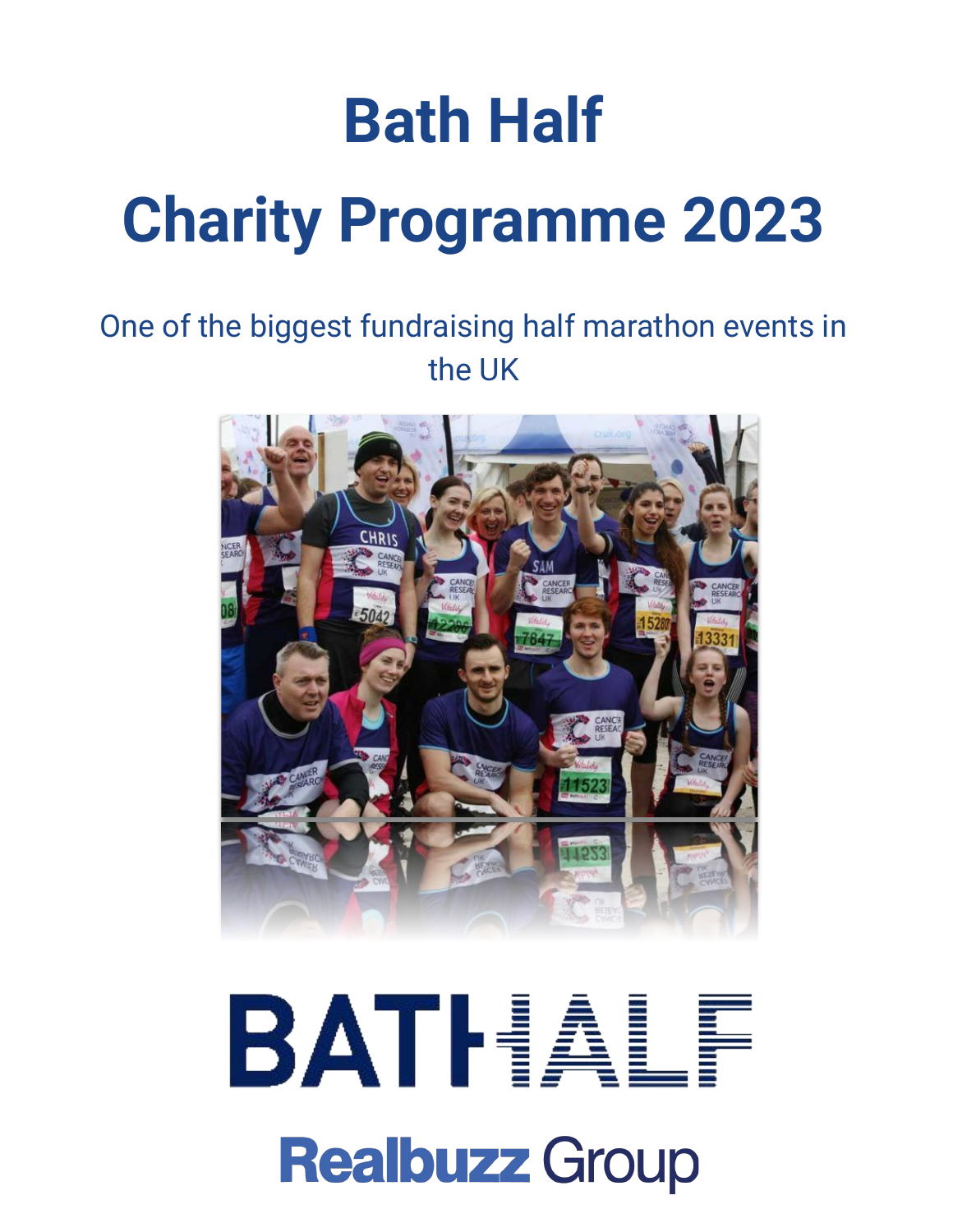## **Bath Half Charity Programme 2023**

#### One of the biggest fundraising half marathon events in the UK



# BATHALF **Realbuzz Group**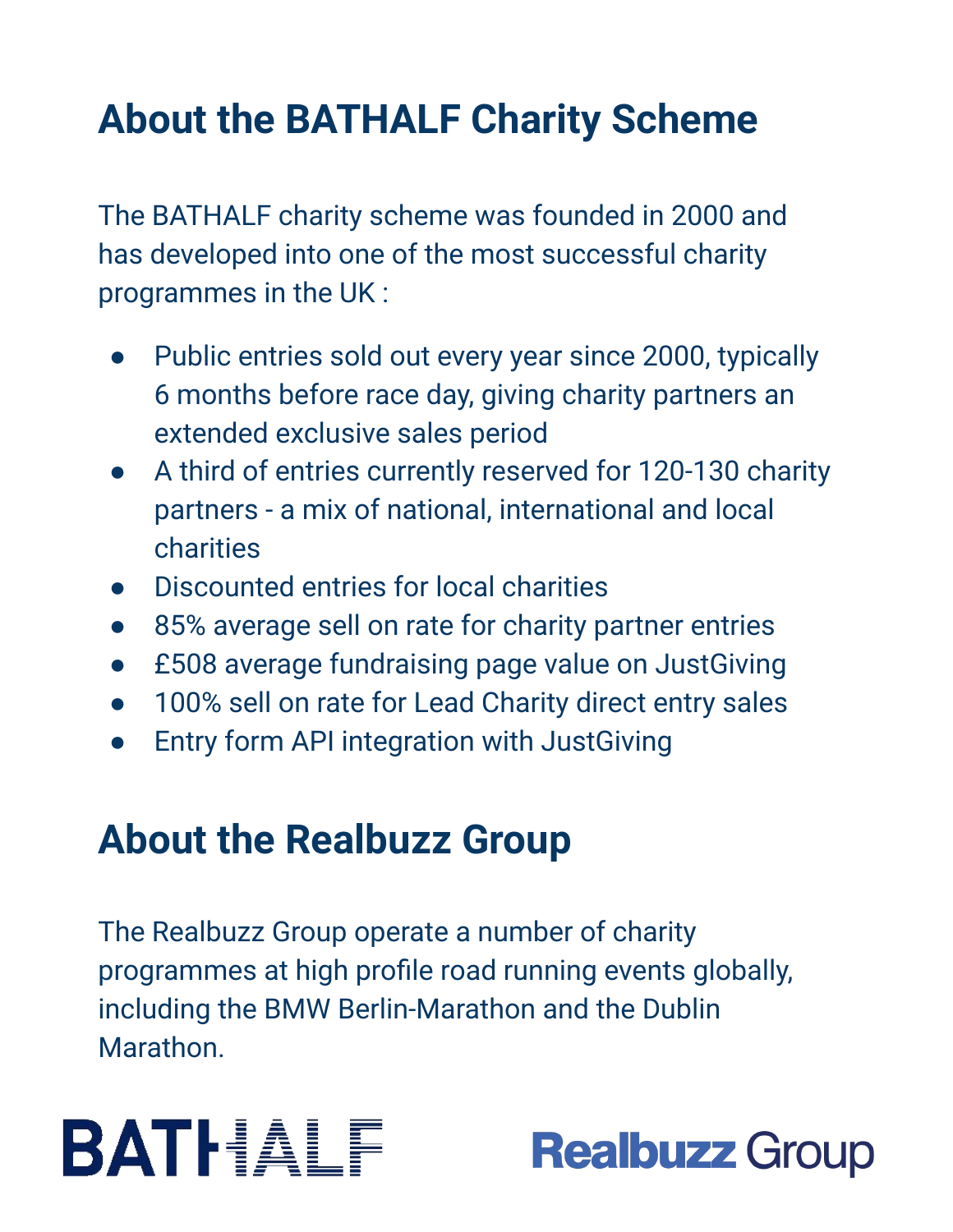### **About the BATHALF Charity Scheme**

The BATHALF charity scheme was founded in 2000 and has developed into one of the most successful charity programmes in the UK :

- Public entries sold out every year since 2000, typically 6 months before race day, giving charity partners an extended exclusive sales period
- A third of entries currently reserved for 120-130 charity partners - a mix of national, international and local charities
- Discounted entries for local charities
- 85% average sell on rate for charity partner entries
- £508 average fundraising page value on JustGiving
- 100% sell on rate for Lead Charity direct entry sales
- **Entry form API integration with JustGiving**

#### **About the Realbuzz Group**

The Realbuzz Group operate a number of charity programmes at high profile road running events globally, including the BMW Berlin-Marathon and the Dublin Marathon.



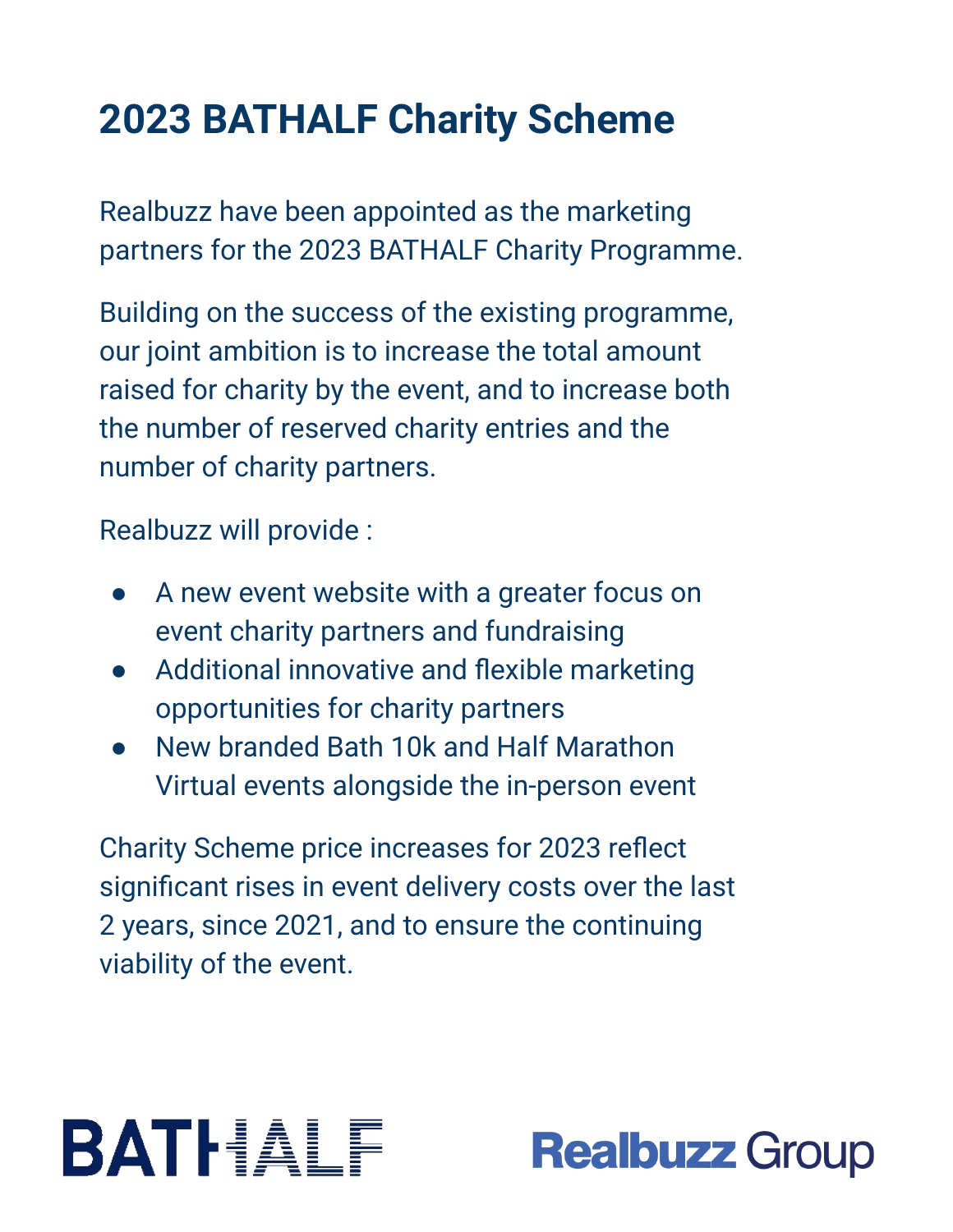### **2023 BATHALF Charity Scheme**

Realbuzz have been appointed as the marketing partners for the 2023 BATHALF Charity Programme.

Building on the success of the existing programme, our joint ambition is to increase the total amount raised for charity by the event, and to increase both the number of reserved charity entries and the number of charity partners.

Realbuzz will provide :

- A new event website with a greater focus on event charity partners and fundraising
- Additional innovative and flexible marketing opportunities for charity partners
- New branded Bath 10k and Half Marathon Virtual events alongside the in-person event

Charity Scheme price increases for 2023 reflect significant rises in event delivery costs over the last 2 years, since 2021, and to ensure the continuing viability of the event.

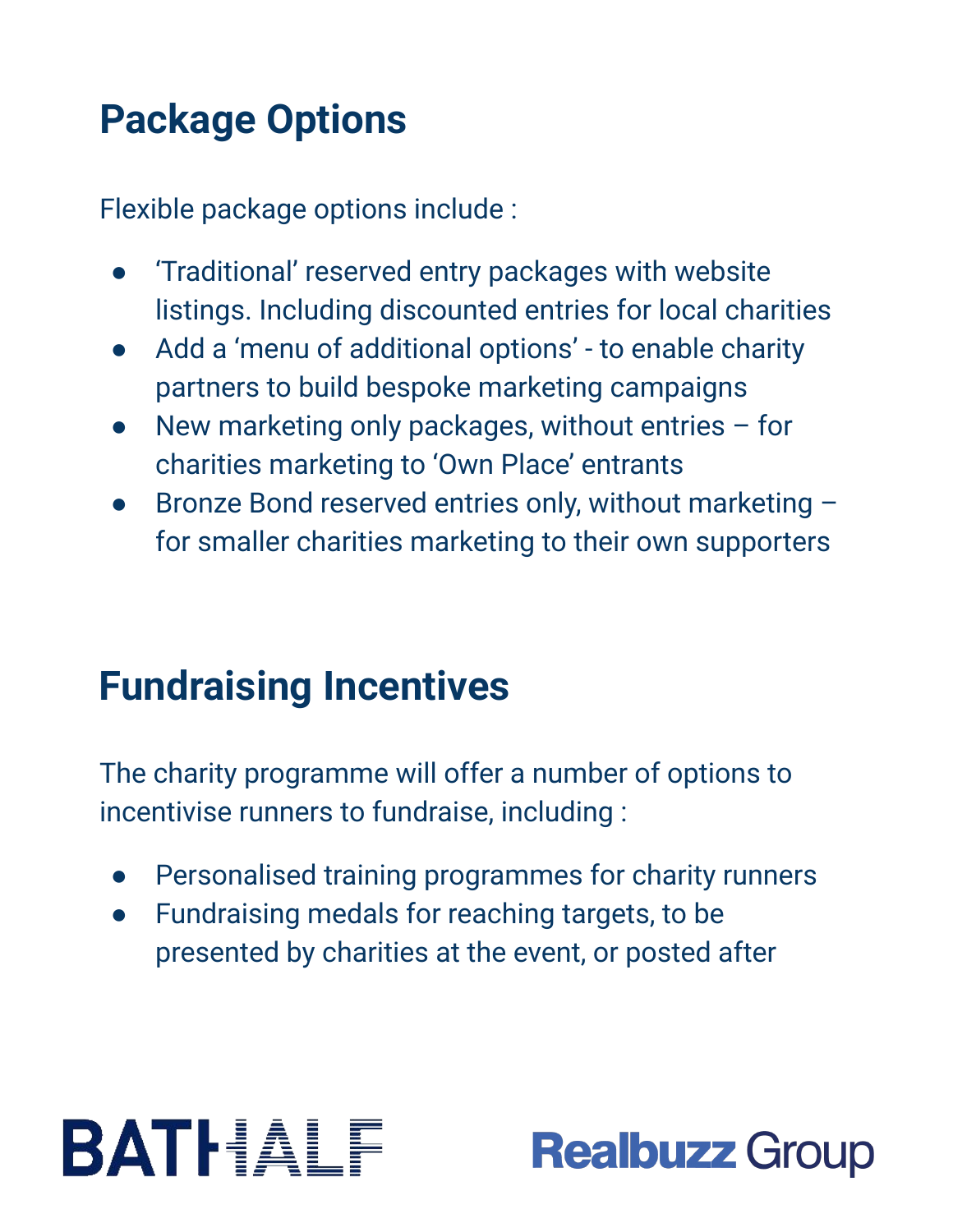### **Package Options**

Flexible package options include :

- 'Traditional' reserved entry packages with website listings. Including discounted entries for local charities
- Add a 'menu of additional options' to enable charity partners to build bespoke marketing campaigns
- New marketing only packages, without entries  $-$  for charities marketing to 'Own Place' entrants
- Bronze Bond reserved entries only, without marketing for smaller charities marketing to their own supporters

### **Fundraising Incentives**

The charity programme will offer a number of options to incentivise runners to fundraise, including :

- Personalised training programmes for charity runners
- Fundraising medals for reaching targets, to be presented by charities at the event, or posted after

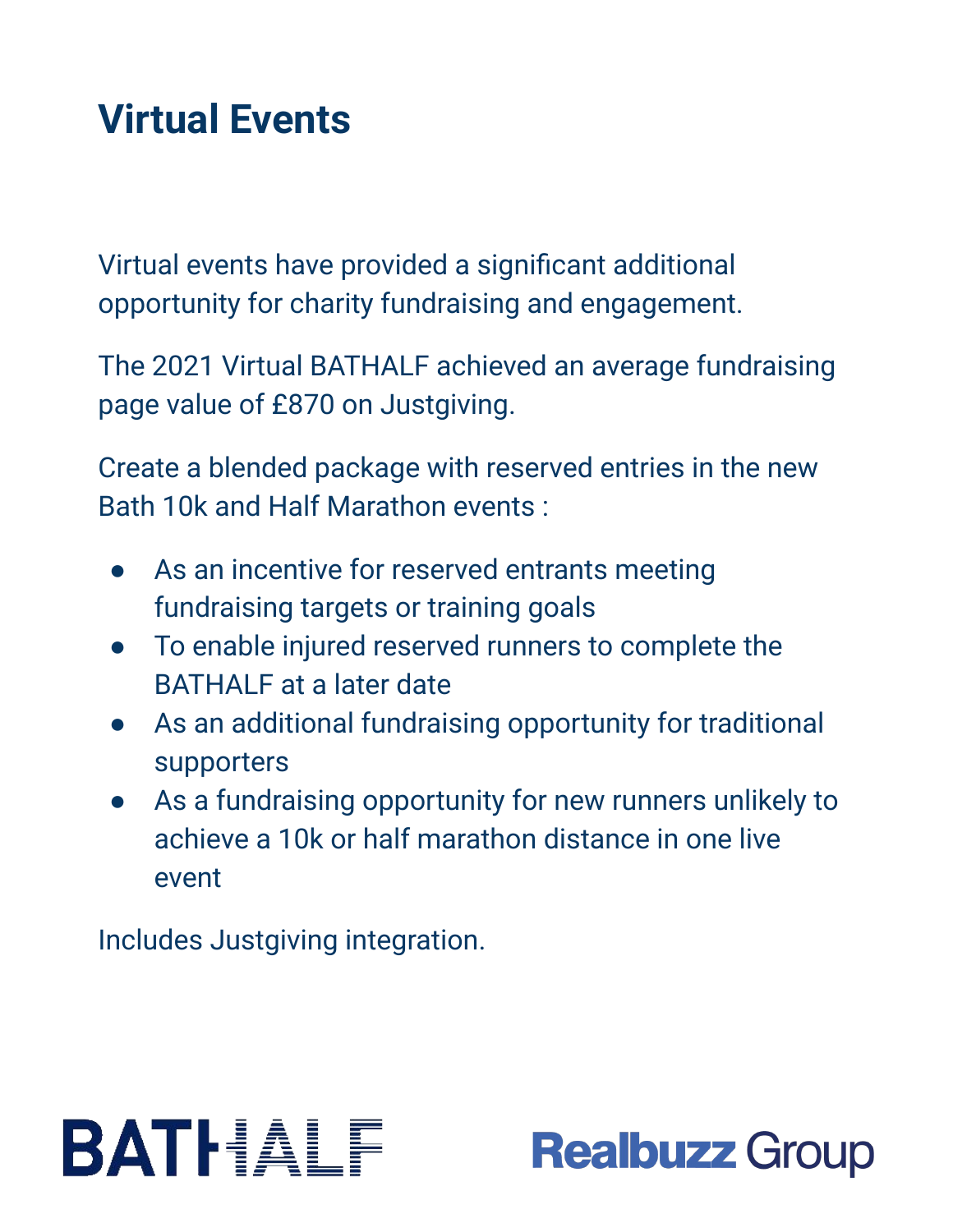#### **Virtual Events**

Virtual events have provided a significant additional opportunity for charity fundraising and engagement.

The 2021 Virtual BATHALF achieved an average fundraising page value of £870 on Justgiving.

Create a blended package with reserved entries in the new Bath 10k and Half Marathon events :

- As an incentive for reserved entrants meeting fundraising targets or training goals
- To enable injured reserved runners to complete the BATHALF at a later date
- As an additional fundraising opportunity for traditional supporters
- As a fundraising opportunity for new runners unlikely to achieve a 10k or half marathon distance in one live event

Includes Justgiving integration.



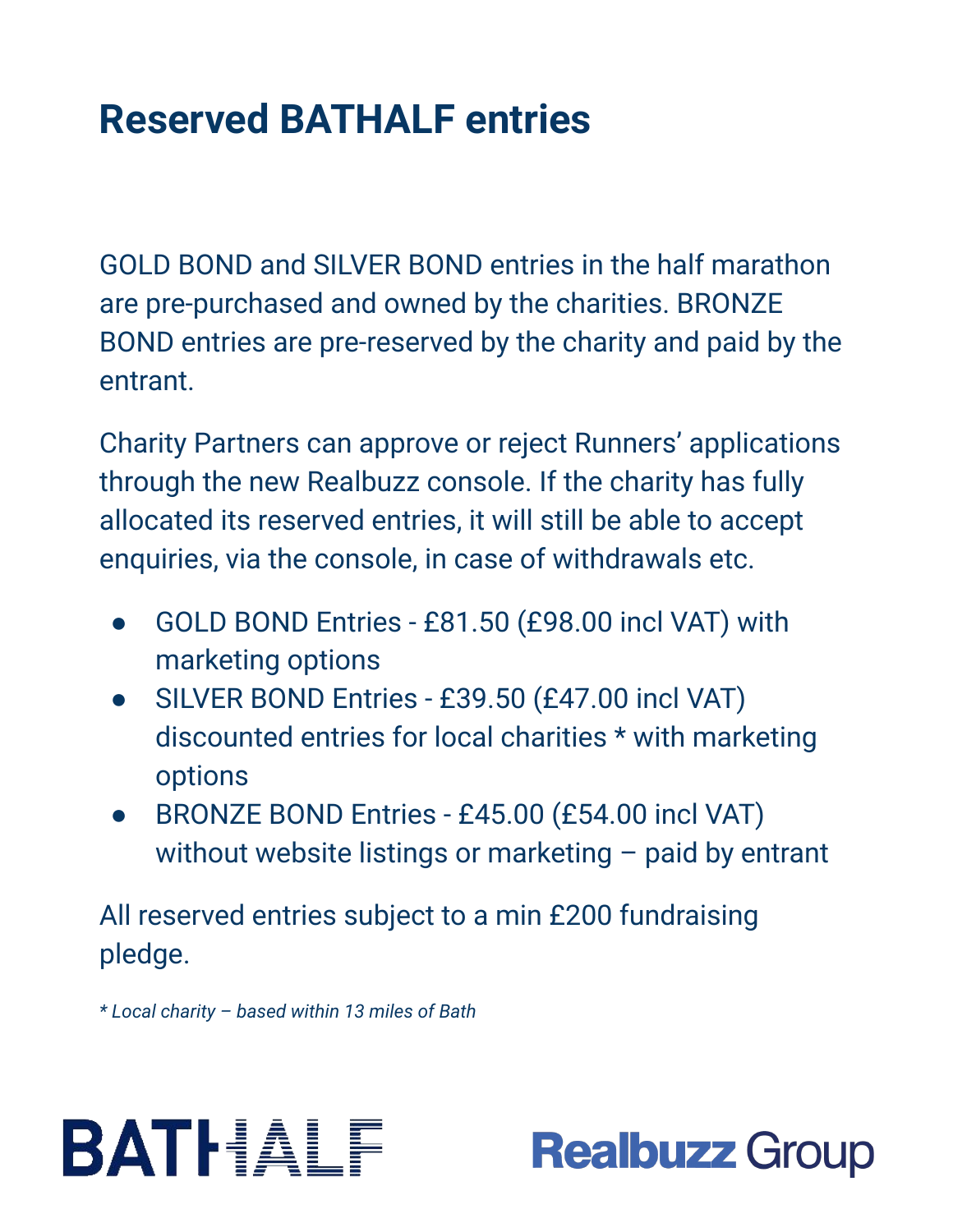#### **Reserved BATHALF entries**

GOLD BOND and SILVER BOND entries in the half marathon are pre-purchased and owned by the charities. BRONZE BOND entries are pre-reserved by the charity and paid by the entrant.

Charity Partners can approve or reject Runners' applications through the new Realbuzz console. If the charity has fully allocated its reserved entries, it will still be able to accept enquiries, via the console, in case of withdrawals etc.

- GOLD BOND Entries £81.50 (£98.00 incl VAT) with marketing options
- SILVER BOND Entries £39.50 (£47.00 incl VAT) discounted entries for local charities \* with marketing options
- BRONZE BOND Entries £45.00 (£54.00 incl VAT) without website listings or marketing – paid by entrant

All reserved entries subject to a min £200 fundraising pledge.

*\* Local charity – based within 13 miles of Bath*



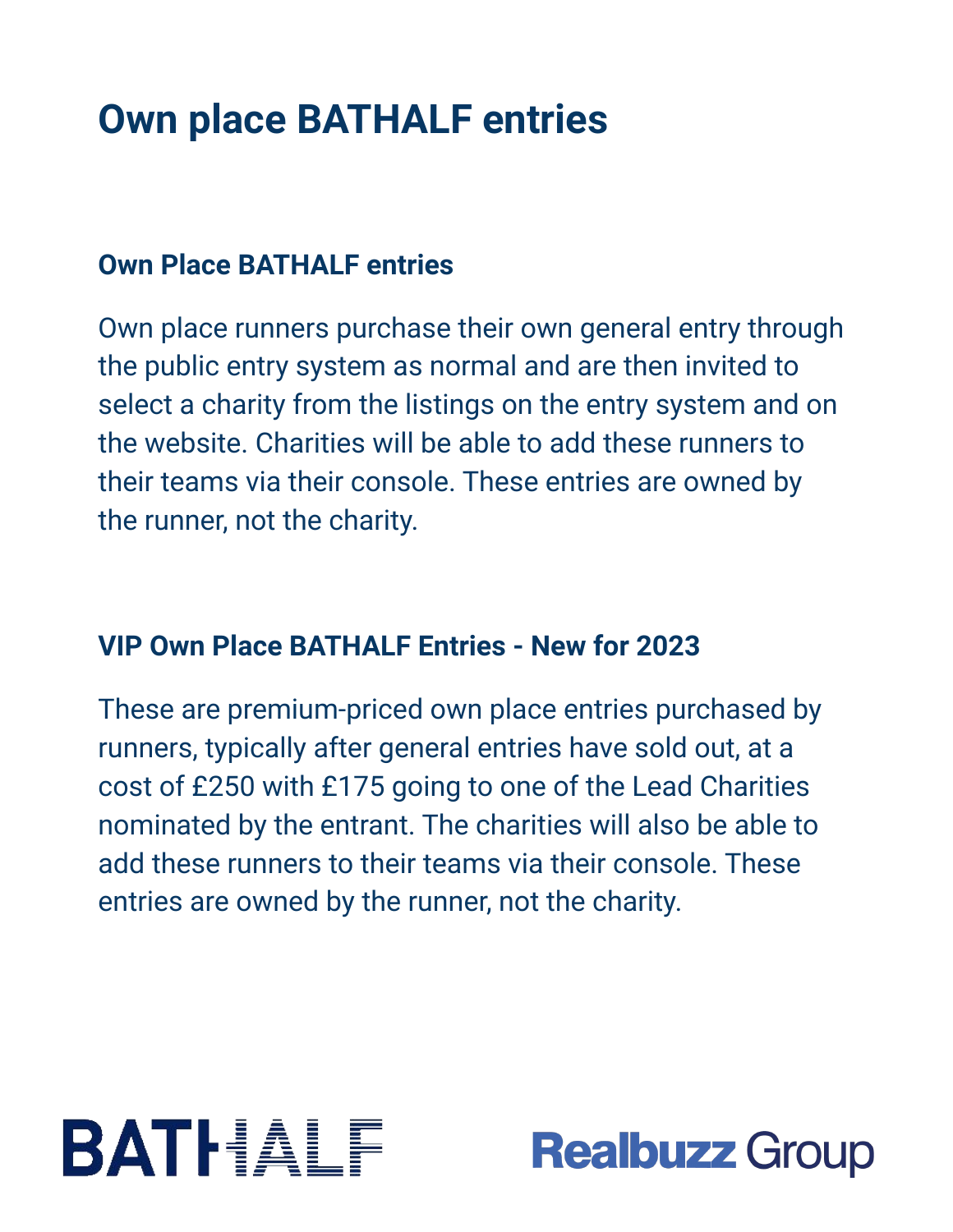#### **Own place BATHALF entries**

#### **Own Place BATHALF entries**

Own place runners purchase their own general entry through the public entry system as normal and are then invited to select a charity from the listings on the entry system and on the website. Charities will be able to add these runners to their teams via their console. These entries are owned by the runner, not the charity.

#### **VIP Own Place BATHALF Entries - New for 2023**

These are premium-priced own place entries purchased by runners, typically after general entries have sold out, at a cost of £250 with £175 going to one of the Lead Charities nominated by the entrant. The charities will also be able to add these runners to their teams via their console. These entries are owned by the runner, not the charity.



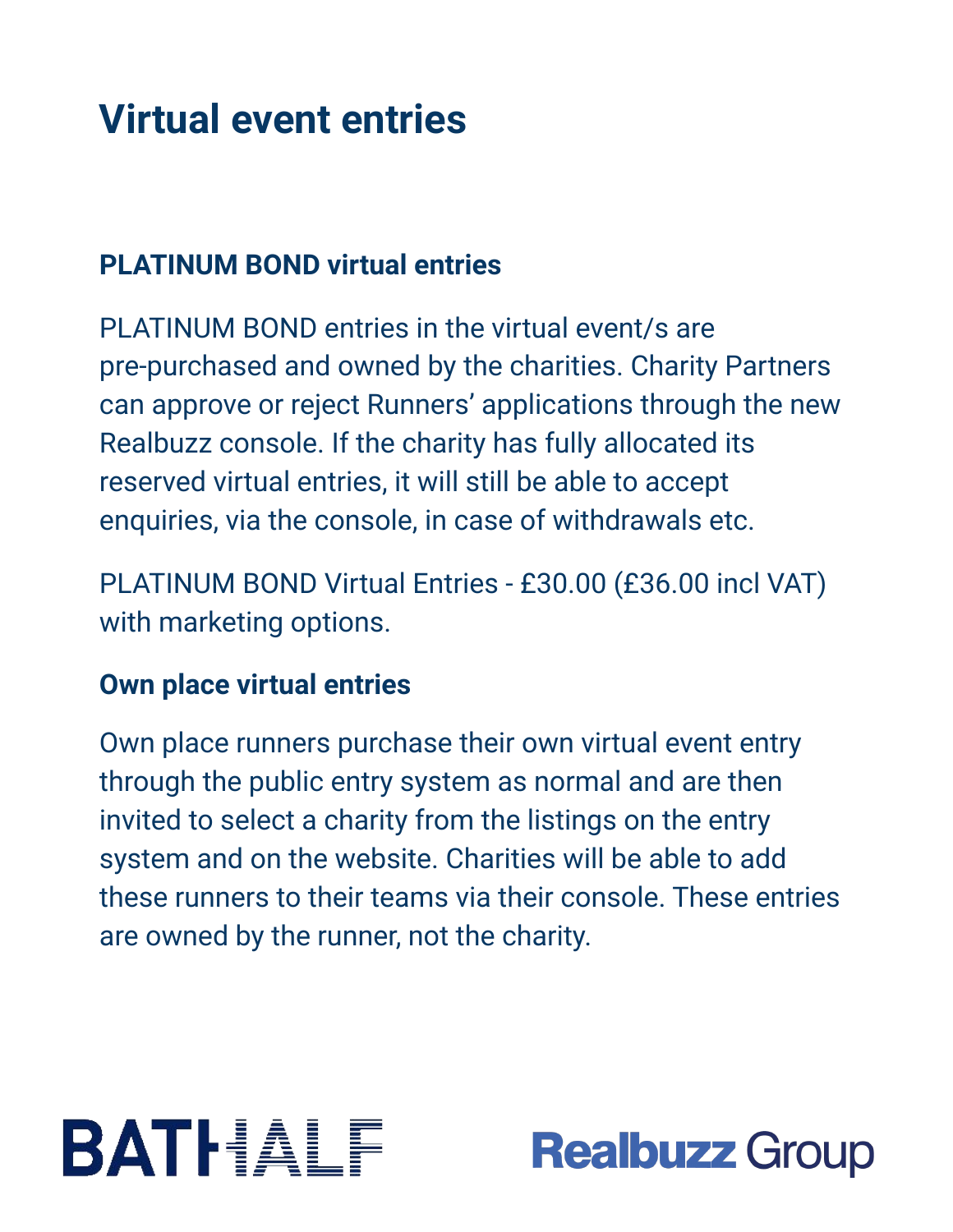#### **Virtual event entries**

#### **PLATINUM BOND virtual entries**

PLATINUM BOND entries in the virtual event/s are pre-purchased and owned by the charities. Charity Partners can approve or reject Runners' applications through the new Realbuzz console. If the charity has fully allocated its reserved virtual entries, it will still be able to accept enquiries, via the console, in case of withdrawals etc.

PLATINUM BOND Virtual Entries - £30.00 (£36.00 incl VAT) with marketing options.

#### **Own place virtual entries**

Own place runners purchase their own virtual event entry through the public entry system as normal and are then invited to select a charity from the listings on the entry system and on the website. Charities will be able to add these runners to their teams via their console. These entries are owned by the runner, not the charity.



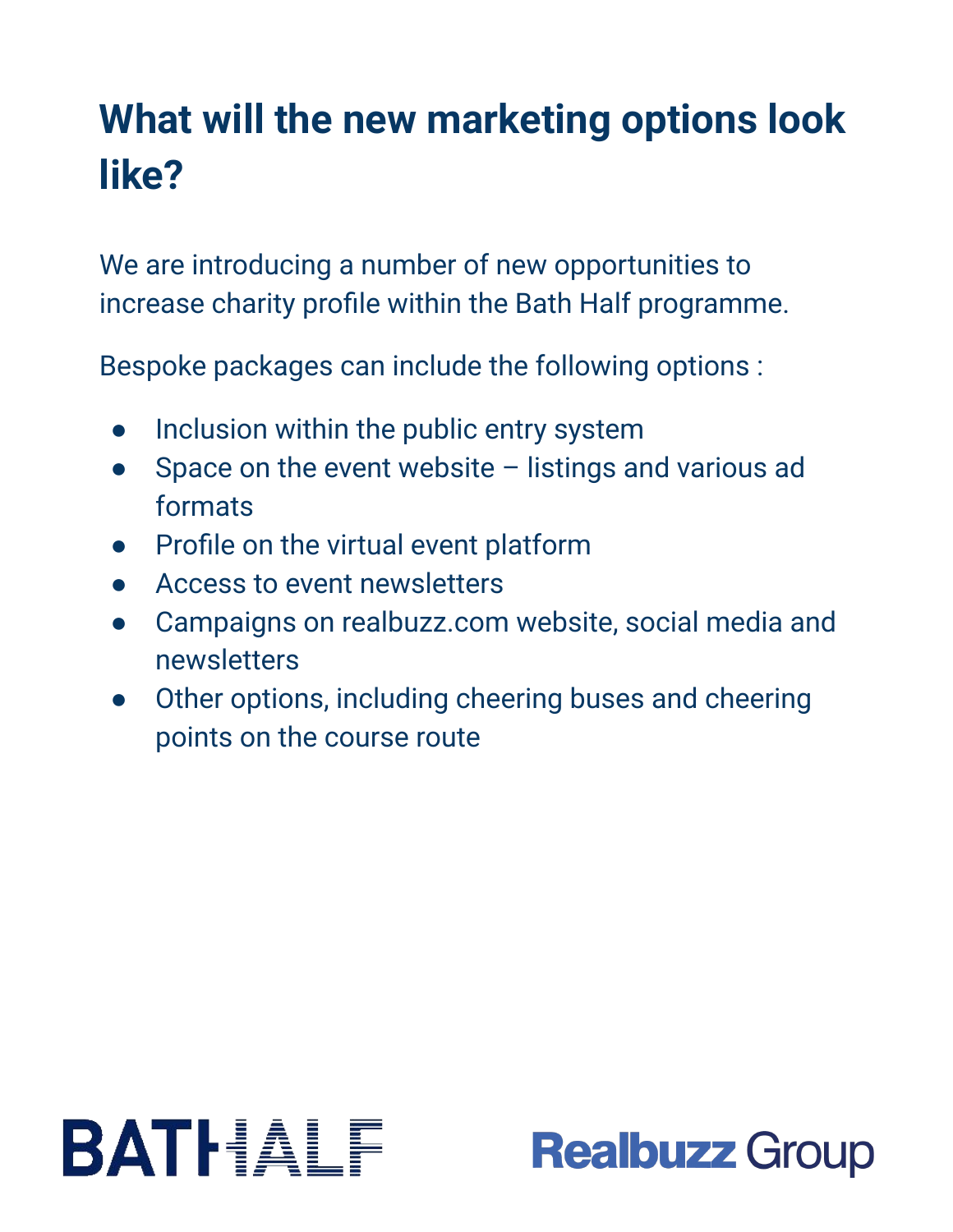### **What will the new marketing options look like?**

We are introducing a number of new opportunities to increase charity profile within the Bath Half programme.

Bespoke packages can include the following options :

- Inclusion within the public entry system
- Space on the event website  $-$  listings and various ad formats
- Profile on the virtual event platform
- Access to event newsletters
- Campaigns on realbuzz.com website, social media and newsletters
- Other options, including cheering buses and cheering points on the course route



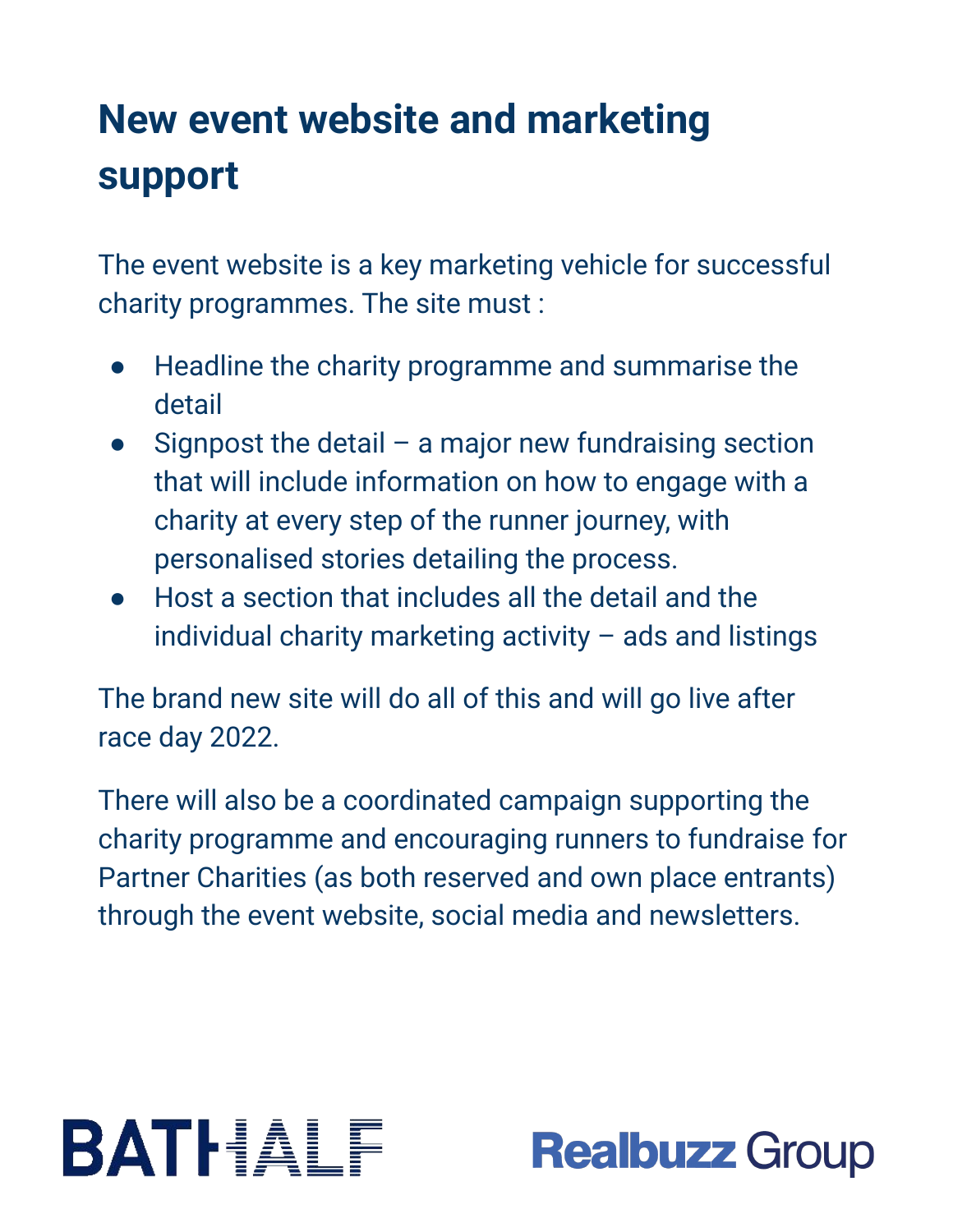### **New event website and marketing support**

The event website is a key marketing vehicle for successful charity programmes. The site must :

- Headline the charity programme and summarise the detail
- Signpost the detail a major new fundraising section that will include information on how to engage with a charity at every step of the runner journey, with personalised stories detailing the process.
- Host a section that includes all the detail and the individual charity marketing activity – ads and listings

The brand new site will do all of this and will go live after race day 2022.

There will also be a coordinated campaign supporting the charity programme and encouraging runners to fundraise for Partner Charities (as both reserved and own place entrants) through the event website, social media and newsletters.



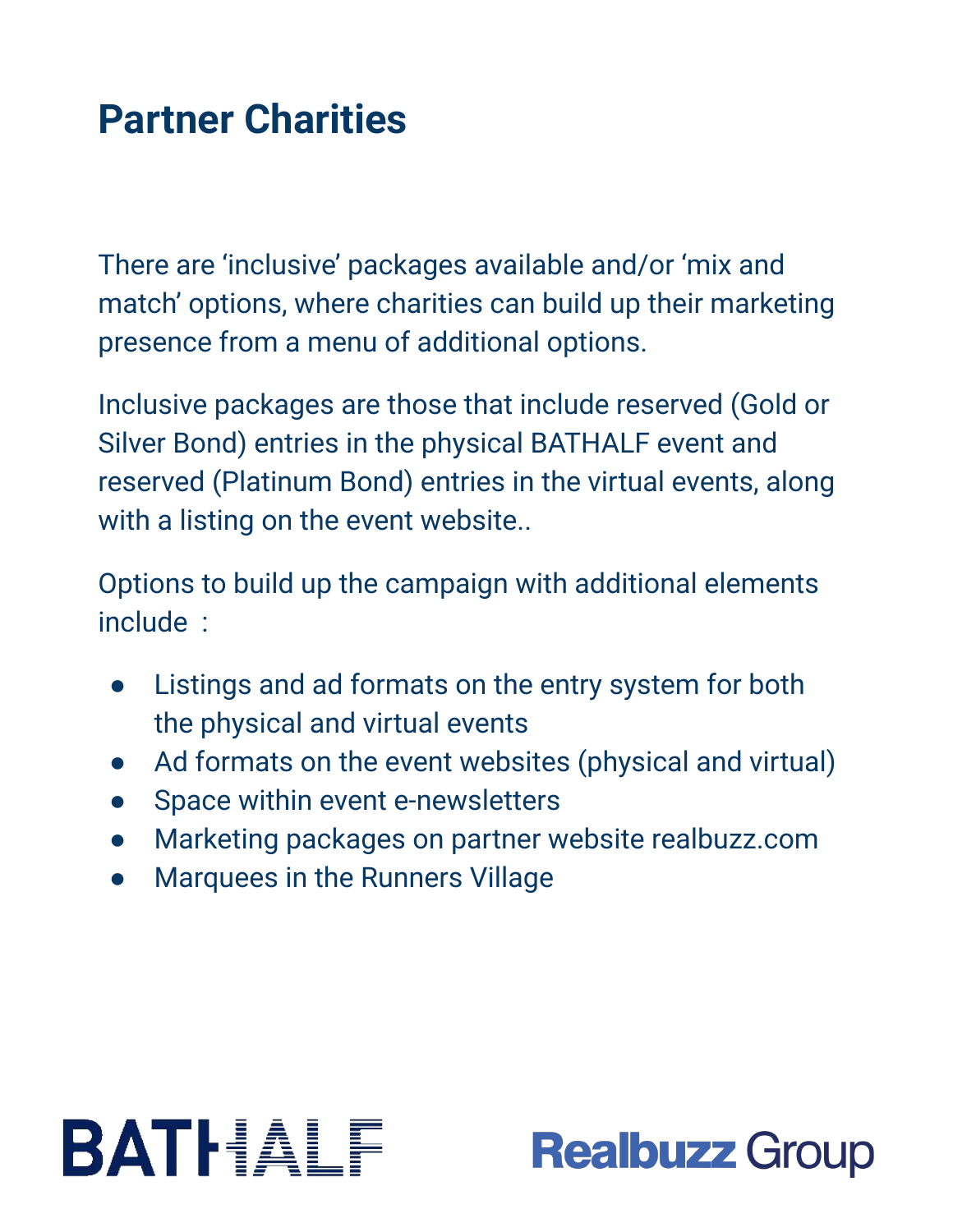#### **Partner Charities**

There are 'inclusive' packages available and/or 'mix and match' options, where charities can build up their marketing presence from a menu of additional options.

Inclusive packages are those that include reserved (Gold or Silver Bond) entries in the physical BATHALF event and reserved (Platinum Bond) entries in the virtual events, along with a listing on the event website..

Options to build up the campaign with additional elements include :

- Listings and ad formats on the entry system for both the physical and virtual events
- Ad formats on the event websites (physical and virtual)
- Space within event e-newsletters
- Marketing packages on partner website realbuzz.com
- **Marquees in the Runners Village**

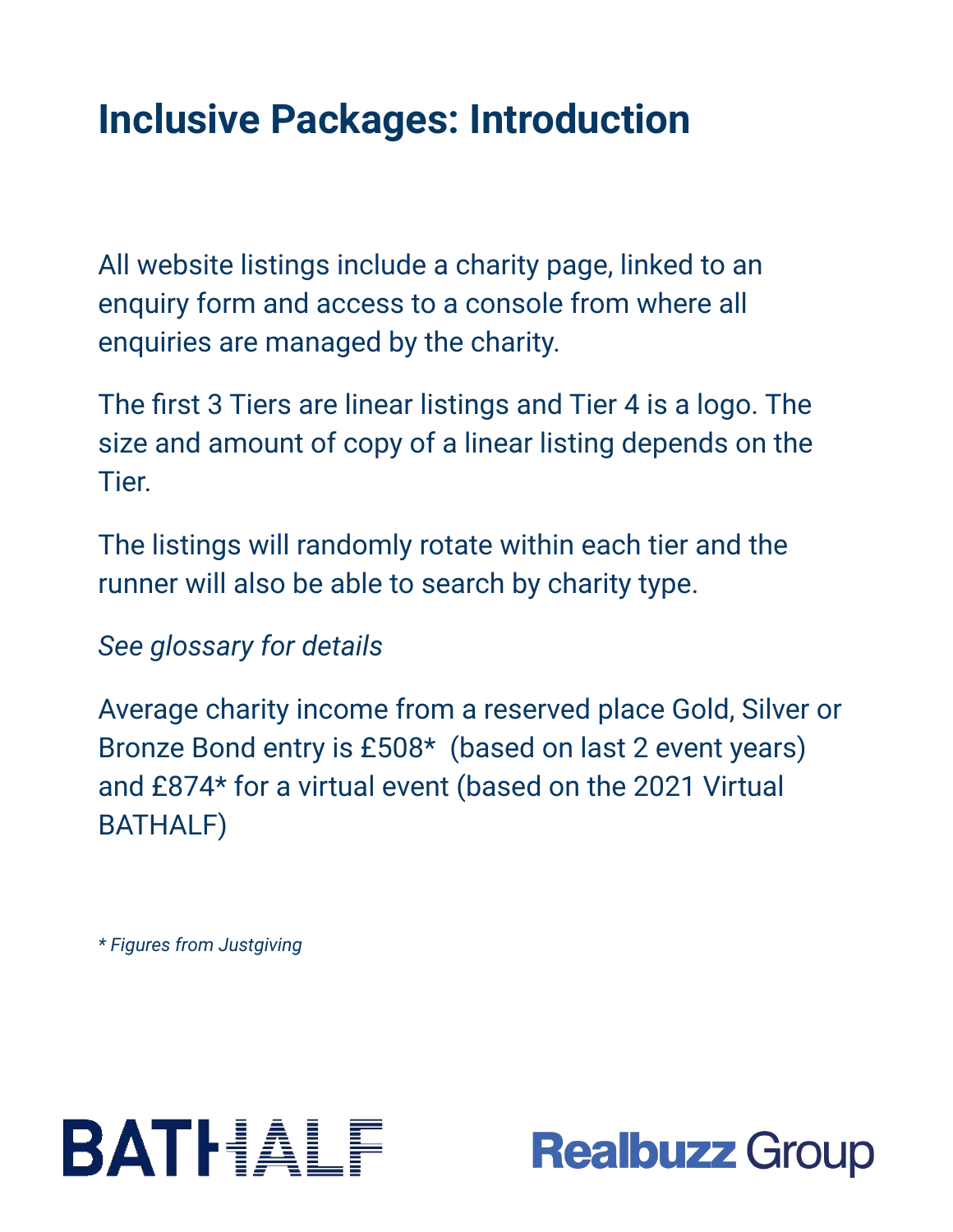### **Inclusive Packages: Introduction**

All website listings include a charity page, linked to an enquiry form and access to a console from where all enquiries are managed by the charity.

The first 3 Tiers are linear listings and Tier 4 is a logo. The size and amount of copy of a linear listing depends on the Tier.

The listings will randomly rotate within each tier and the runner will also be able to search by charity type.

#### *See glossary for details*

Average charity income from a reserved place Gold, Silver or Bronze Bond entry is £508\* (based on last 2 event years) and £874\* for a virtual event (based on the 2021 Virtual BATHALF)

*\* Figures from Justgiving*



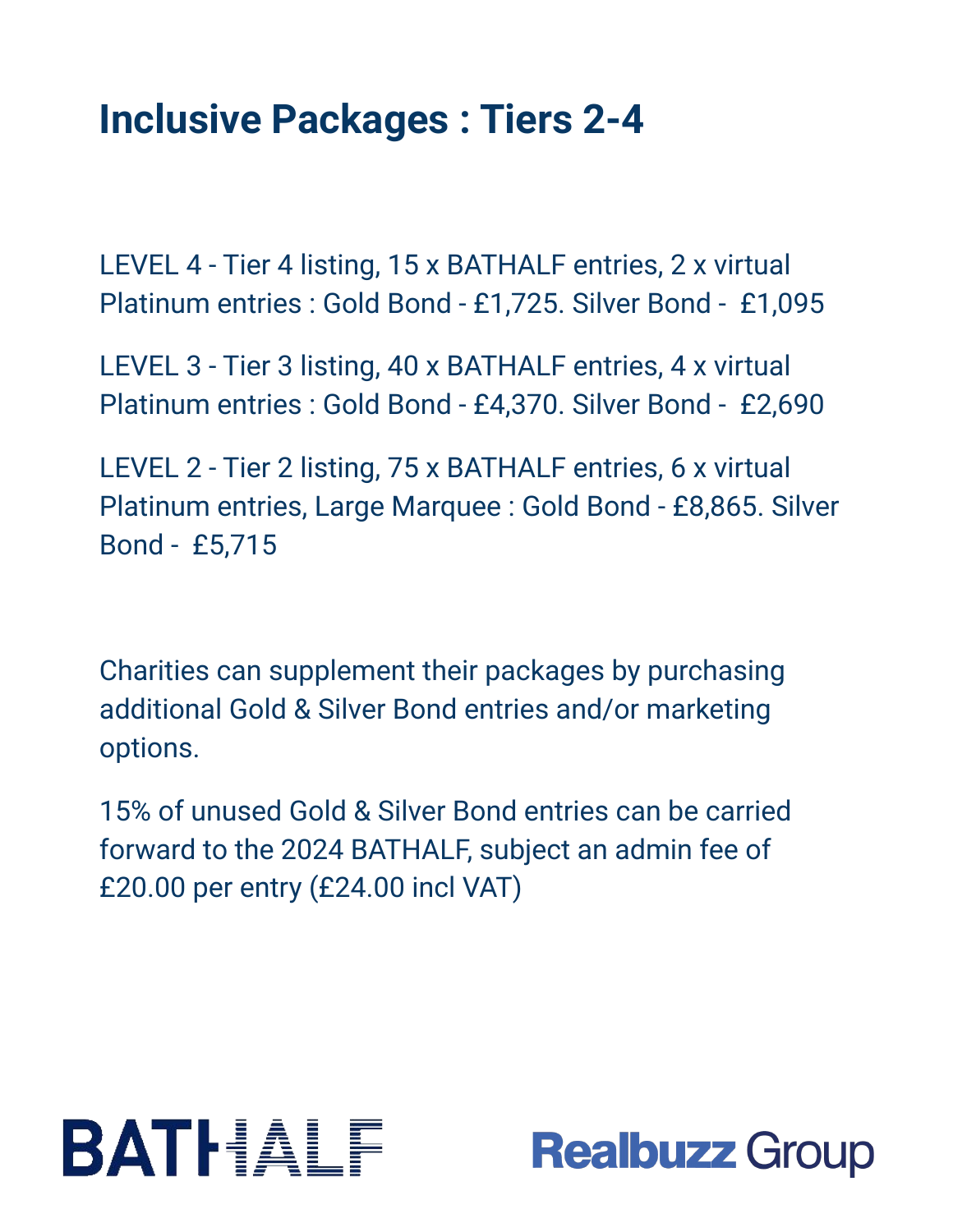#### **Inclusive Packages : Tiers 2-4**

LEVEL 4 - Tier 4 listing, 15 x BATHALF entries, 2 x virtual Platinum entries : Gold Bond - £1,725. Silver Bond - £1,095

LEVEL 3 - Tier 3 listing, 40 x BATHALF entries, 4 x virtual Platinum entries : Gold Bond - £4,370. Silver Bond - £2,690

LEVEL 2 - Tier 2 listing, 75 x BATHALF entries, 6 x virtual Platinum entries, Large Marquee : Gold Bond - £8,865. Silver Bond - £5,715

Charities can supplement their packages by purchasing additional Gold & Silver Bond entries and/or marketing options.

15% of unused Gold & Silver Bond entries can be carried forward to the 2024 BATHALF, subject an admin fee of £20.00 per entry (£24.00 incl VAT)



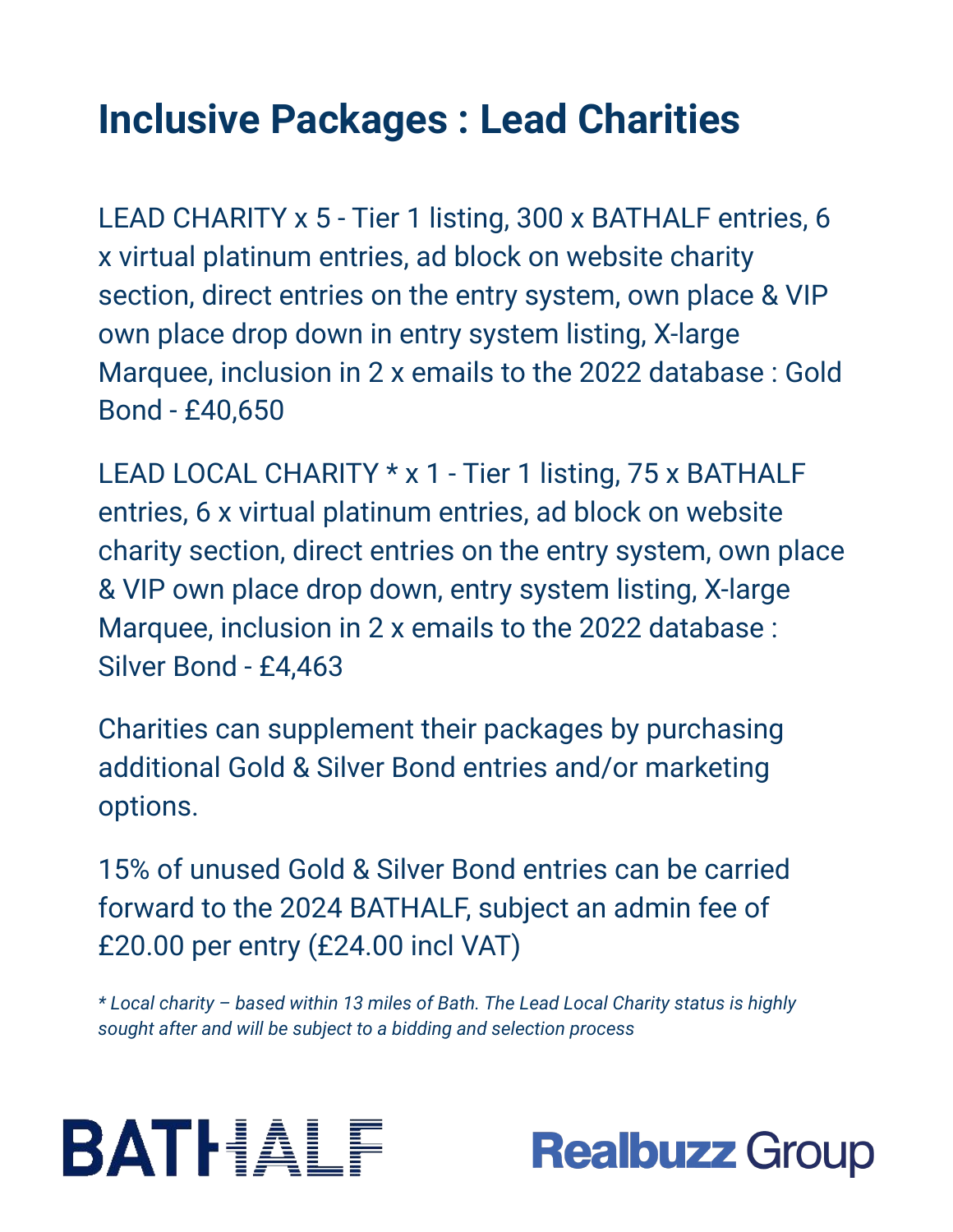### **Inclusive Packages : Lead Charities**

LEAD CHARITY x 5 - Tier 1 listing, 300 x BATHALF entries, 6 x virtual platinum entries, ad block on website charity section, direct entries on the entry system, own place & VIP own place drop down in entry system listing, X-large Marquee, inclusion in 2 x emails to the 2022 database : Gold Bond - £40,650

LEAD LOCAL CHARITY \* x 1 - Tier 1 listing, 75 x BATHALF entries, 6 x virtual platinum entries, ad block on website charity section, direct entries on the entry system, own place & VIP own place drop down, entry system listing, X-large Marquee, inclusion in 2 x emails to the 2022 database : Silver Bond - £4,463

Charities can supplement their packages by purchasing additional Gold & Silver Bond entries and/or marketing options.

15% of unused Gold & Silver Bond entries can be carried forward to the 2024 BATHALF, subject an admin fee of £20.00 per entry (£24.00 incl VAT)

*\* Local charity – based within 13 miles of Bath. The Lead Local Charity status is highly sought after and will be subject to a bidding and selection process*



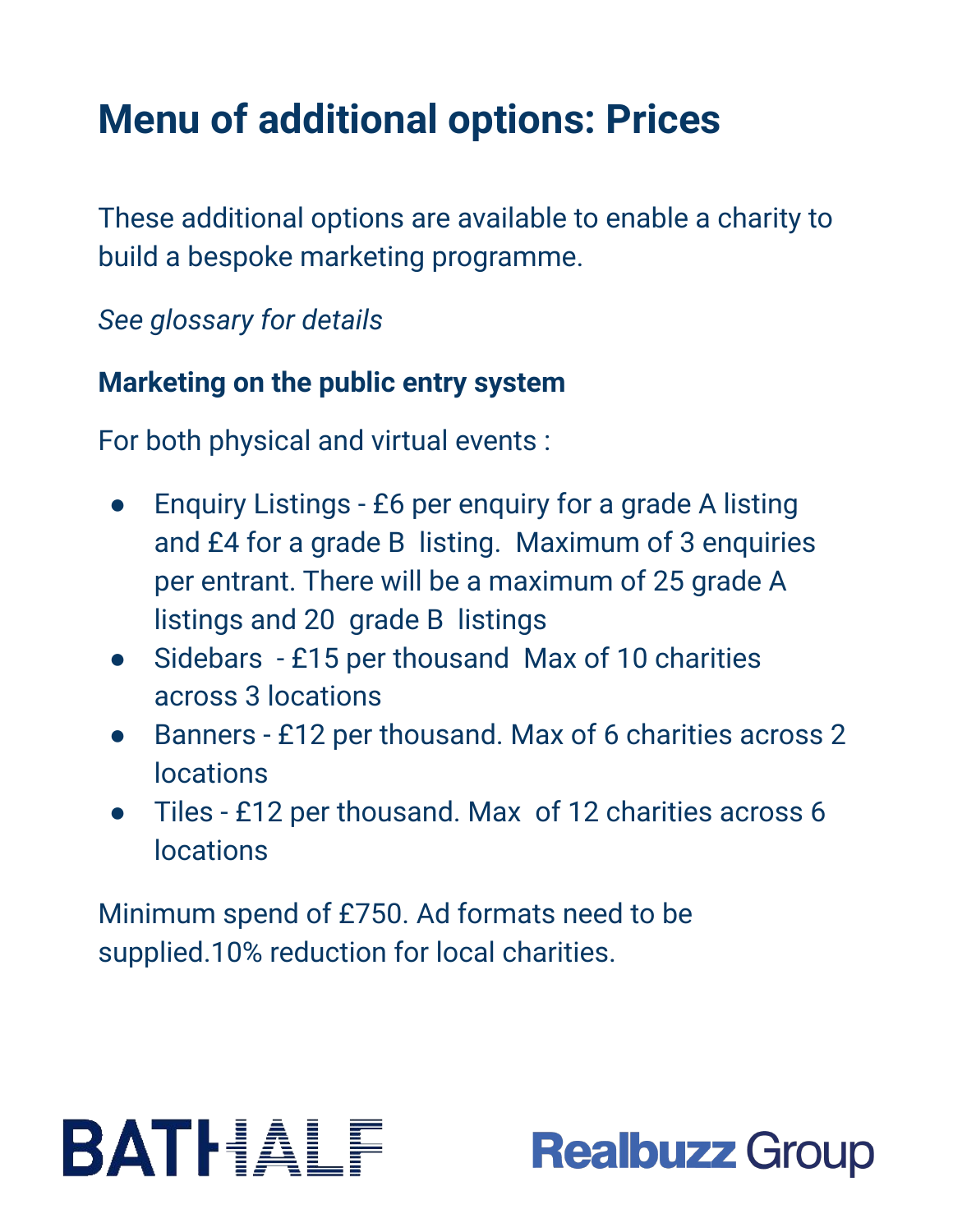### **Menu of additional options: Prices**

These additional options are available to enable a charity to build a bespoke marketing programme.

*See glossary for details*

#### **Marketing on the public entry system**

For both physical and virtual events :

- Enquiry Listings £6 per enquiry for a grade A listing and £4 for a grade B listing. Maximum of 3 enquiries per entrant. There will be a maximum of 25 grade A listings and 20 grade B listings
- Sidebars £15 per thousand Max of 10 charities across 3 locations
- Banners £12 per thousand. Max of 6 charities across 2 locations
- Tiles £12 per thousand. Max of 12 charities across 6 locations

Minimum spend of £750. Ad formats need to be supplied.10% reduction for local charities.

## BATHALF

### **Realbuzz Group**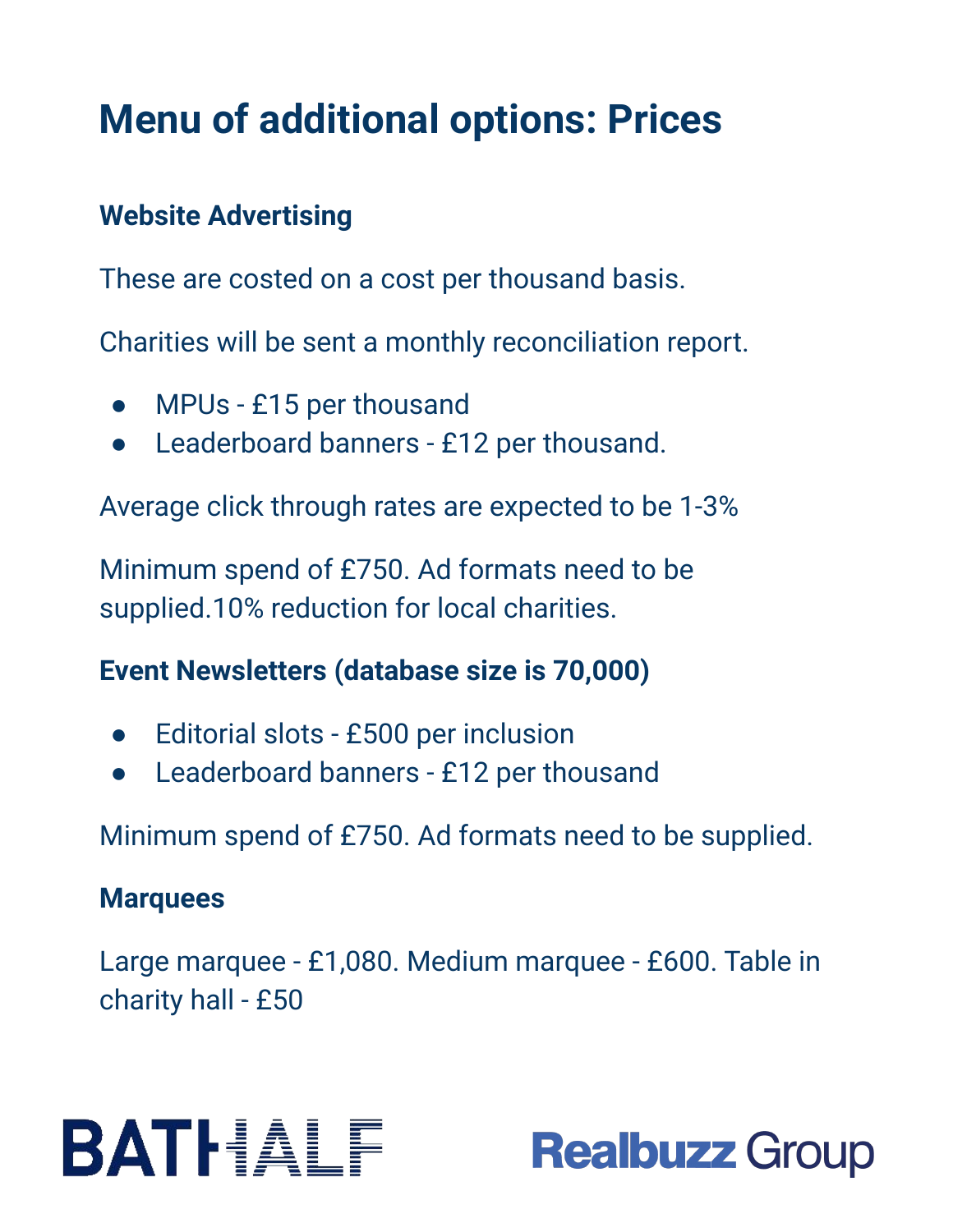### **Menu of additional options: Prices**

#### **Website Advertising**

These are costed on a cost per thousand basis.

Charities will be sent a monthly reconciliation report.

- MPUs £15 per thousand
- Leaderboard banners £12 per thousand.

Average click through rates are expected to be 1-3%

Minimum spend of £750. Ad formats need to be supplied.10% reduction for local charities.

#### **Event Newsletters (database size is 70,000)**

- Editorial slots £500 per inclusion
- Leaderboard banners £12 per thousand

Minimum spend of £750. Ad formats need to be supplied.

#### **Marquees**

Large marquee - £1,080. Medium marquee - £600. Table in charity hall - £50